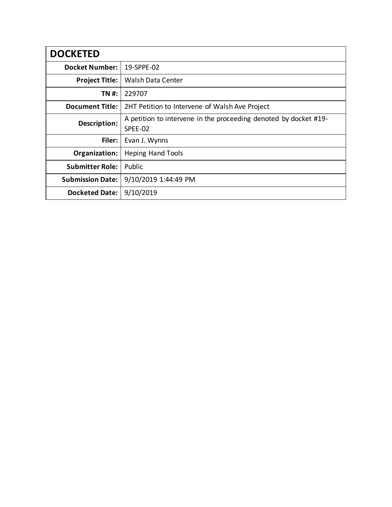| <b>DOCKETED</b>         |                                                                  |
|-------------------------|------------------------------------------------------------------|
| <b>Docket Number:</b>   | 19-SPPE-02                                                       |
| <b>Project Title:</b>   | <b>Walsh Data Center</b>                                         |
| TN #:                   | 229707                                                           |
| <b>Document Title:</b>  | 2HT Petition to Intervene of Walsh Ave Project                   |
| Description:            | A petition to intervene in the proceeding denoted by docket #19- |
|                         | SPEE-02                                                          |
| Filer:                  | Evan J. Wynns                                                    |
| Organization:           | <b>Heping Hand Tools</b>                                         |
| <b>Submitter Role:</b>  | Public                                                           |
| <b>Submission Date:</b> | 9/10/2019 1:44:49 PM                                             |
| <b>Docketed Date:</b>   | 9/10/2019                                                        |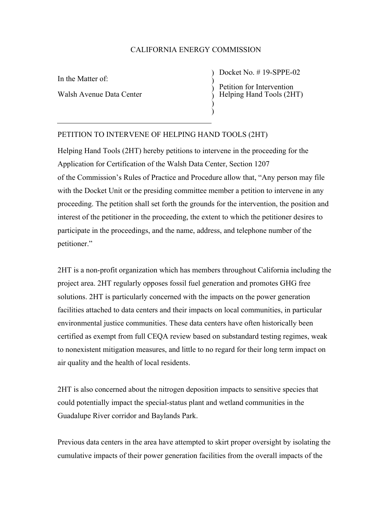## CALIFORNIA ENERGY COMMISSION

) ) ) ) )

In the Matter of:

Walsh Avenue Data Center

) Docket No. # 19-SPPE-02 Petition for Intervention Helping Hand Tools (2HT)

## PETITION TO INTERVENE OF HELPING HAND TOOLS (2HT)

Helping Hand Tools (2HT) hereby petitions to intervene in the proceeding for the Application for Certification of the Walsh Data Center, Section 1207 of the Commission's Rules of Practice and Procedure allow that, "Any person may file with the Docket Unit or the presiding committee member a petition to intervene in any proceeding. The petition shall set forth the grounds for the intervention, the position and interest of the petitioner in the proceeding, the extent to which the petitioner desires to participate in the proceedings, and the name, address, and telephone number of the petitioner."

2HT is a non-profit organization which has members throughout California including the project area. 2HT regularly opposes fossil fuel generation and promotes GHG free solutions. 2HT is particularly concerned with the impacts on the power generation facilities attached to data centers and their impacts on local communities, in particular environmental justice communities. These data centers have often historically been certified as exempt from full CEQA review based on substandard testing regimes, weak to nonexistent mitigation measures, and little to no regard for their long term impact on air quality and the health of local residents.

2HT is also concerned about the nitrogen deposition impacts to sensitive species that could potentially impact the special-status plant and wetland communities in the Guadalupe River corridor and Baylands Park.

Previous data centers in the area have attempted to skirt proper oversight by isolating the cumulative impacts of their power generation facilities from the overall impacts of the